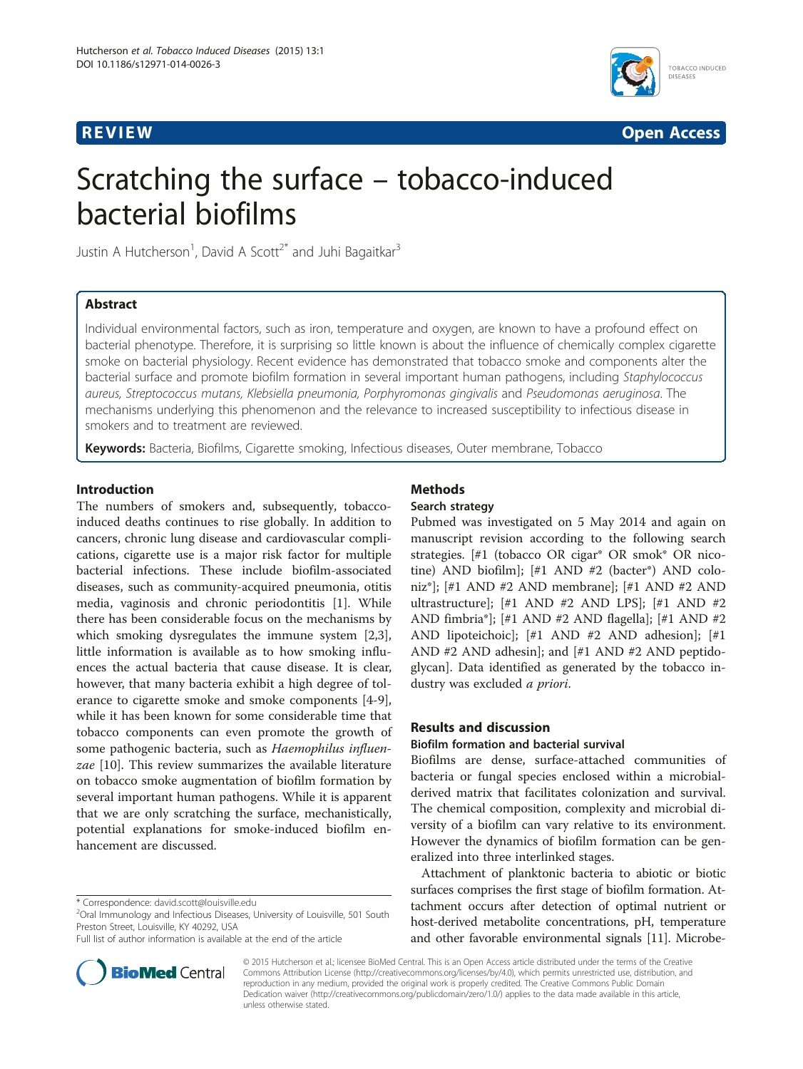

**REVIEW CONSTRUCTION CONSTRUCTION CONSTRUCTION CONSTRUCTS** 

# Scratching the surface – tobacco-induced bacterial biofilms

Justin A Hutcherson<sup>1</sup>, David A Scott<sup>2\*</sup> and Juhi Bagaitkar<sup>3</sup>

### Abstract

Individual environmental factors, such as iron, temperature and oxygen, are known to have a profound effect on bacterial phenotype. Therefore, it is surprising so little known is about the influence of chemically complex cigarette smoke on bacterial physiology. Recent evidence has demonstrated that tobacco smoke and components alter the bacterial surface and promote biofilm formation in several important human pathogens, including Staphylococcus aureus, Streptococcus mutans, Klebsiella pneumonia, Porphyromonas gingivalis and Pseudomonas aeruginosa. The mechanisms underlying this phenomenon and the relevance to increased susceptibility to infectious disease in smokers and to treatment are reviewed.

Keywords: Bacteria, Biofilms, Cigarette smoking, Infectious diseases, Outer membrane, Tobacco

#### Introduction

The numbers of smokers and, subsequently, tobaccoinduced deaths continues to rise globally. In addition to cancers, chronic lung disease and cardiovascular complications, cigarette use is a major risk factor for multiple bacterial infections. These include biofilm-associated diseases, such as community-acquired pneumonia, otitis media, vaginosis and chronic periodontitis [[1\]](#page-4-0). While there has been considerable focus on the mechanisms by which smoking dysregulates the immune system [\[2,3](#page-4-0)], little information is available as to how smoking influences the actual bacteria that cause disease. It is clear, however, that many bacteria exhibit a high degree of tolerance to cigarette smoke and smoke components [[4-9](#page-4-0)], while it has been known for some considerable time that tobacco components can even promote the growth of some pathogenic bacteria, such as Haemophilus influenzae [[10\]](#page-4-0). This review summarizes the available literature on tobacco smoke augmentation of biofilm formation by several important human pathogens. While it is apparent that we are only scratching the surface, mechanistically, potential explanations for smoke-induced biofilm enhancement are discussed.

<sup>2</sup>Oral Immunology and Infectious Diseases, University of Louisville, 501 South Preston Street, Louisville, KY 40292, USA

Full list of author information is available at the end of the article



## Methods

#### Search strategy

Pubmed was investigated on 5 May 2014 and again on manuscript revision according to the following search strategies. [#1 (tobacco OR cigar\* OR smok\* OR nicotine) AND biofilm]; [#1 AND #2 (bacter\*) AND coloniz\*]; [#1 AND #2 AND membrane]; [#1 AND #2 AND ultrastructure]; [#1 AND #2 AND LPS]; [#1 AND #2 AND fimbria\*]; [#1 AND #2 AND flagella]; [#1 AND #2 AND lipoteichoic]; [#1 AND #2 AND adhesion]; [#1 AND #2 AND adhesin]; and [#1 AND #2 AND peptidoglycan]. Data identified as generated by the tobacco industry was excluded a priori.

#### Results and discussion

#### Biofilm formation and bacterial survival

Biofilms are dense, surface-attached communities of bacteria or fungal species enclosed within a microbialderived matrix that facilitates colonization and survival. The chemical composition, complexity and microbial diversity of a biofilm can vary relative to its environment. However the dynamics of biofilm formation can be generalized into three interlinked stages.

Attachment of planktonic bacteria to abiotic or biotic surfaces comprises the first stage of biofilm formation. Attachment occurs after detection of optimal nutrient or host-derived metabolite concentrations, pH, temperature and other favorable environmental signals [[11](#page-4-0)]. Microbe-

© 2015 Hutcherson et al.; licensee BioMed Central. This is an Open Access article distributed under the terms of the Creative Commons Attribution License [\(http://creativecommons.org/licenses/by/4.0\)](http://creativecommons.org/licenses/by/4.0), which permits unrestricted use, distribution, and reproduction in any medium, provided the original work is properly credited. The Creative Commons Public Domain Dedication waiver [\(http://creativecommons.org/publicdomain/zero/1.0/](http://creativecommons.org/publicdomain/zero/1.0/)) applies to the data made available in this article, unless otherwise stated.

<sup>\*</sup> Correspondence: [david.scott@louisville.edu](mailto:david.scott@louisville.edu) <sup>2</sup>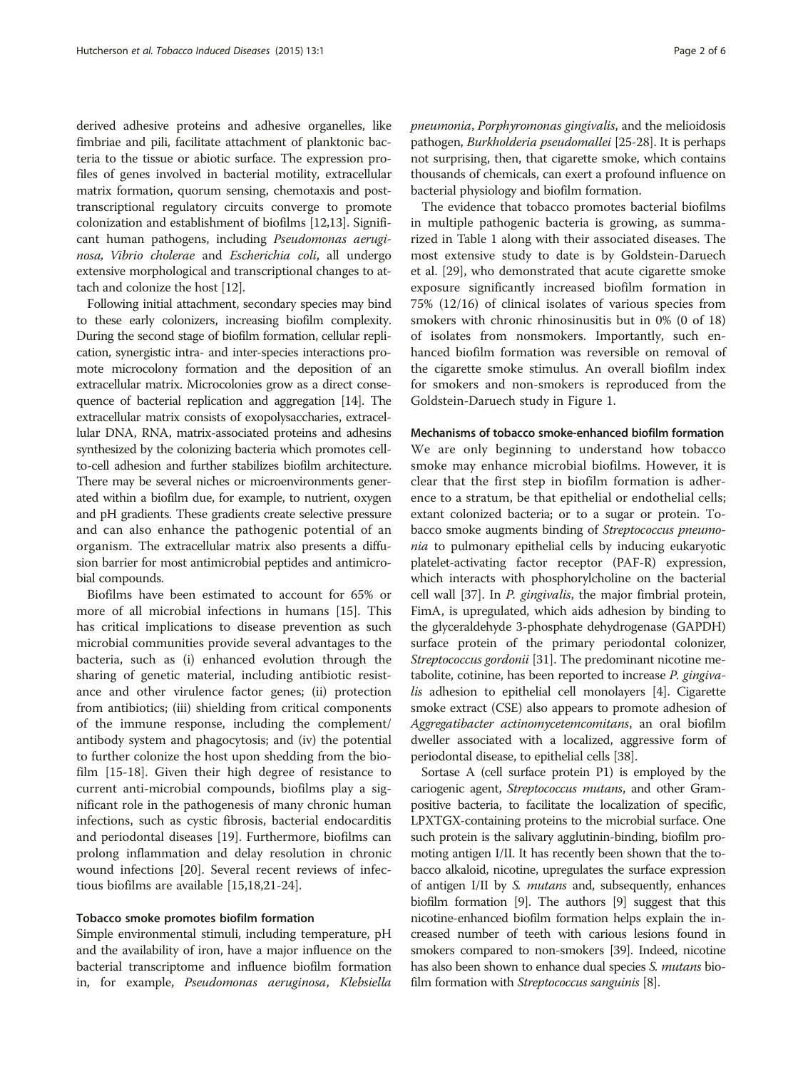derived adhesive proteins and adhesive organelles, like fimbriae and pili, facilitate attachment of planktonic bacteria to the tissue or abiotic surface. The expression profiles of genes involved in bacterial motility, extracellular matrix formation, quorum sensing, chemotaxis and posttranscriptional regulatory circuits converge to promote colonization and establishment of biofilms [[12,13](#page-4-0)]. Significant human pathogens, including Pseudomonas aeruginosa, Vibrio cholerae and Escherichia coli, all undergo extensive morphological and transcriptional changes to attach and colonize the host [\[12\]](#page-4-0).

Following initial attachment, secondary species may bind to these early colonizers, increasing biofilm complexity. During the second stage of biofilm formation, cellular replication, synergistic intra- and inter-species interactions promote microcolony formation and the deposition of an extracellular matrix. Microcolonies grow as a direct consequence of bacterial replication and aggregation [\[14](#page-5-0)]. The extracellular matrix consists of exopolysaccharies, extracellular DNA, RNA, matrix-associated proteins and adhesins synthesized by the colonizing bacteria which promotes cellto-cell adhesion and further stabilizes biofilm architecture. There may be several niches or microenvironments generated within a biofilm due, for example, to nutrient, oxygen and pH gradients. These gradients create selective pressure and can also enhance the pathogenic potential of an organism. The extracellular matrix also presents a diffusion barrier for most antimicrobial peptides and antimicrobial compounds.

Biofilms have been estimated to account for 65% or more of all microbial infections in humans [\[15](#page-5-0)]. This has critical implications to disease prevention as such microbial communities provide several advantages to the bacteria, such as (i) enhanced evolution through the sharing of genetic material, including antibiotic resistance and other virulence factor genes; (ii) protection from antibiotics; (iii) shielding from critical components of the immune response, including the complement/ antibody system and phagocytosis; and (iv) the potential to further colonize the host upon shedding from the biofilm [\[15](#page-5-0)-[18](#page-5-0)]. Given their high degree of resistance to current anti-microbial compounds, biofilms play a significant role in the pathogenesis of many chronic human infections, such as cystic fibrosis, bacterial endocarditis and periodontal diseases [\[19](#page-5-0)]. Furthermore, biofilms can prolong inflammation and delay resolution in chronic wound infections [[20](#page-5-0)]. Several recent reviews of infectious biofilms are available [[15](#page-5-0),[18,21](#page-5-0)-[24\]](#page-5-0).

#### Tobacco smoke promotes biofilm formation

Simple environmental stimuli, including temperature, pH and the availability of iron, have a major influence on the bacterial transcriptome and influence biofilm formation in, for example, Pseudomonas aeruginosa, Klebsiella pneumonia, Porphyromonas gingivalis, and the melioidosis pathogen, Burkholderia pseudomallei [\[25-28\]](#page-5-0). It is perhaps not surprising, then, that cigarette smoke, which contains thousands of chemicals, can exert a profound influence on bacterial physiology and biofilm formation.

The evidence that tobacco promotes bacterial biofilms in multiple pathogenic bacteria is growing, as summarized in Table [1](#page-2-0) along with their associated diseases. The most extensive study to date is by Goldstein-Daruech et al. [\[29\]](#page-5-0), who demonstrated that acute cigarette smoke exposure significantly increased biofilm formation in 75% (12/16) of clinical isolates of various species from smokers with chronic rhinosinusitis but in 0% (0 of 18) of isolates from nonsmokers. Importantly, such enhanced biofilm formation was reversible on removal of the cigarette smoke stimulus. An overall biofilm index for smokers and non-smokers is reproduced from the Goldstein-Daruech study in Figure [1.](#page-2-0)

#### Mechanisms of tobacco smoke-enhanced biofilm formation

We are only beginning to understand how tobacco smoke may enhance microbial biofilms. However, it is clear that the first step in biofilm formation is adherence to a stratum, be that epithelial or endothelial cells; extant colonized bacteria; or to a sugar or protein. Tobacco smoke augments binding of Streptococcus pneumonia to pulmonary epithelial cells by inducing eukaryotic platelet-activating factor receptor (PAF-R) expression, which interacts with phosphorylcholine on the bacterial cell wall [[37](#page-5-0)]. In P. gingivalis, the major fimbrial protein, FimA, is upregulated, which aids adhesion by binding to the glyceraldehyde 3-phosphate dehydrogenase (GAPDH) surface protein of the primary periodontal colonizer, Streptococcus gordonii [\[31\]](#page-5-0). The predominant nicotine metabolite, cotinine, has been reported to increase P. gingiva-lis adhesion to epithelial cell monolayers [\[4\]](#page-4-0). Cigarette smoke extract (CSE) also appears to promote adhesion of Aggregatibacter actinomycetemcomitans, an oral biofilm dweller associated with a localized, aggressive form of periodontal disease, to epithelial cells [\[38\]](#page-5-0).

Sortase A (cell surface protein P1) is employed by the cariogenic agent, Streptococcus mutans, and other Grampositive bacteria, to facilitate the localization of specific, LPXTGX-containing proteins to the microbial surface. One such protein is the salivary agglutinin-binding, biofilm promoting antigen I/II. It has recently been shown that the tobacco alkaloid, nicotine, upregulates the surface expression of antigen I/II by S. mutans and, subsequently, enhances biofilm formation [\[9](#page-4-0)]. The authors [\[9](#page-4-0)] suggest that this nicotine-enhanced biofilm formation helps explain the increased number of teeth with carious lesions found in smokers compared to non-smokers [\[39\]](#page-5-0). Indeed, nicotine has also been shown to enhance dual species *S. mutans* biofilm formation with *Streptococcus sanguinis* [\[8\]](#page-4-0).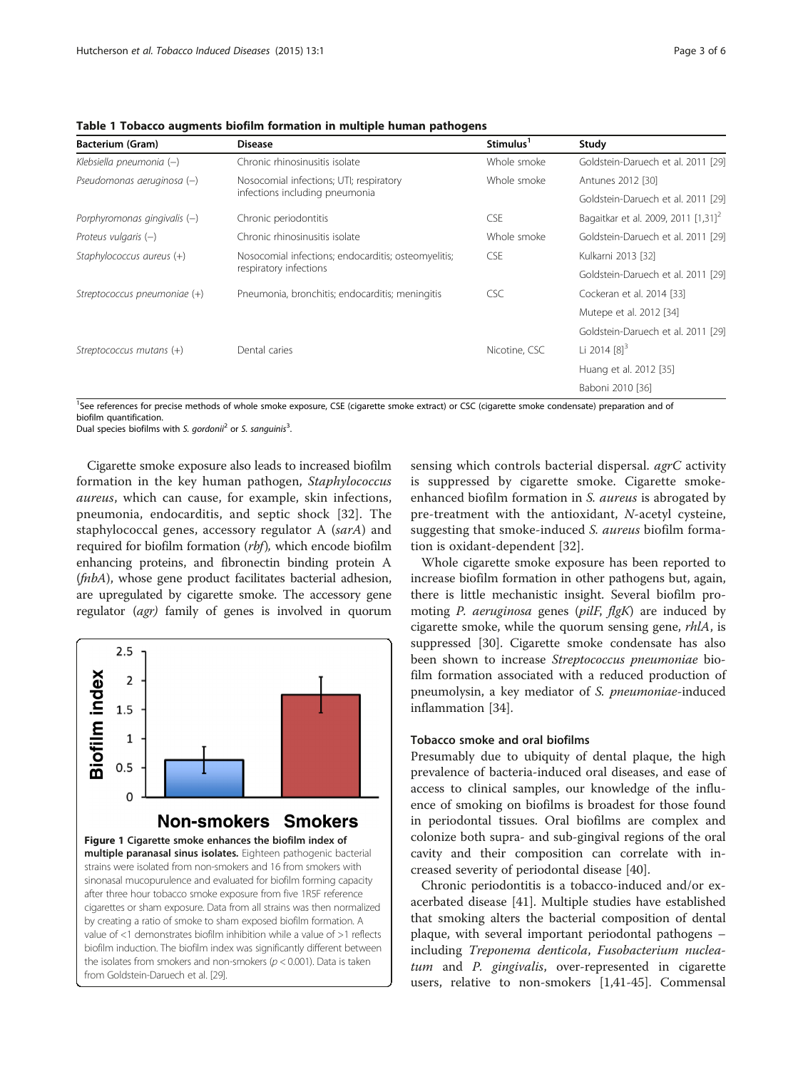| <b>Bacterium (Gram)</b>        | <b>Disease</b>                                                                | Stimulus <sup>1</sup> | Study                                           |
|--------------------------------|-------------------------------------------------------------------------------|-----------------------|-------------------------------------------------|
| Klebsiella pneumonia (-)       | Chronic rhinosinusitis isolate                                                | Whole smoke           | Goldstein-Daruech et al. 2011 [29]              |
| Pseudomonas aeruginosa $(-)$   | Nosocomial infections; UTI; respiratory<br>infections including pneumonia     | Whole smoke           | Antunes 2012 [30]                               |
|                                |                                                                               |                       | Goldstein-Daruech et al. 2011 [29]              |
| Porphyromonas gingivalis $(-)$ | Chronic periodontitis                                                         | <b>CSE</b>            | Bagaitkar et al. 2009, 2011 [1,31] <sup>2</sup> |
| Proteus vulgaris $(-)$         | Chronic rhinosinusitis isolate                                                | Whole smoke           | Goldstein-Daruech et al. 2011 [29]              |
| Staphylococcus aureus $(+)$    | Nosocomial infections; endocarditis; osteomyelitis;<br>respiratory infections | CSE                   | Kulkarni 2013 [32]                              |
|                                |                                                                               |                       | Goldstein-Daruech et al. 2011 [29]              |
| Streptococcus pneumoniae (+)   | Pneumonia, bronchitis; endocarditis; meningitis                               | <b>CSC</b>            | Cockeran et al. 2014 [33]                       |
|                                |                                                                               |                       | Mutepe et al. 2012 [34]                         |
|                                |                                                                               |                       | Goldstein-Daruech et al. 2011 [29]              |
| Streptococcus mutans $(+)$     | Dental caries                                                                 | Nicotine, CSC         | Li 2014 $[8]^3$                                 |
|                                |                                                                               |                       | Huang et al. 2012 [35]                          |
|                                |                                                                               |                       | Baboni 2010 [36]                                |

<span id="page-2-0"></span>Table 1 Tobacco augments biofilm formation in multiple human pathogens

<sup>1</sup>See references for precise methods of whole smoke exposure, CSE (cigarette smoke extract) or CSC (cigarette smoke condensate) preparation and of biofilm quantification. .

Dual species biofilms with S. gordoni $i^2$  or S. sanguinis<sup>3</sup>.

Cigarette smoke exposure also leads to increased biofilm formation in the key human pathogen, Staphylococcus aureus, which can cause, for example, skin infections, pneumonia, endocarditis, and septic shock [\[32](#page-5-0)]. The staphylococcal genes, accessory regulator A (sarA) and required for biofilm formation (rbf), which encode biofilm enhancing proteins, and fibronectin binding protein A (fnbA), whose gene product facilitates bacterial adhesion, are upregulated by cigarette smoke. The accessory gene regulator (agr) family of genes is involved in quorum



cigarettes or sham exposure. Data from all strains was then normalized by creating a ratio of smoke to sham exposed biofilm formation. A value of <1 demonstrates biofilm inhibition while a value of >1 reflects biofilm induction. The biofilm index was significantly different between the isolates from smokers and non-smokers ( $p < 0.001$ ). Data is taken from Goldstein-Daruech et al. [[29](#page-5-0)].

sensing which controls bacterial dispersal. *agrC* activity is suppressed by cigarette smoke. Cigarette smokeenhanced biofilm formation in S. aureus is abrogated by pre-treatment with the antioxidant, N-acetyl cysteine, suggesting that smoke-induced S. aureus biofilm formation is oxidant-dependent [[32\]](#page-5-0).

Whole cigarette smoke exposure has been reported to increase biofilm formation in other pathogens but, again, there is little mechanistic insight. Several biofilm promoting P. aeruginosa genes (pilF, flgK) are induced by cigarette smoke, while the quorum sensing gene, rhlA, is suppressed [[30\]](#page-5-0). Cigarette smoke condensate has also been shown to increase Streptococcus pneumoniae biofilm formation associated with a reduced production of pneumolysin, a key mediator of S. pneumoniae-induced inflammation [[34](#page-5-0)].

#### Tobacco smoke and oral biofilms

Presumably due to ubiquity of dental plaque, the high prevalence of bacteria-induced oral diseases, and ease of access to clinical samples, our knowledge of the influence of smoking on biofilms is broadest for those found in periodontal tissues. Oral biofilms are complex and colonize both supra- and sub-gingival regions of the oral cavity and their composition can correlate with increased severity of periodontal disease [\[40](#page-5-0)].

Chronic periodontitis is a tobacco-induced and/or exacerbated disease [[41\]](#page-5-0). Multiple studies have established that smoking alters the bacterial composition of dental plaque, with several important periodontal pathogens – including Treponema denticola, Fusobacterium nucleatum and P. gingivalis, over-represented in cigarette users, relative to non-smokers [[1,](#page-4-0)[41-45](#page-5-0)]. Commensal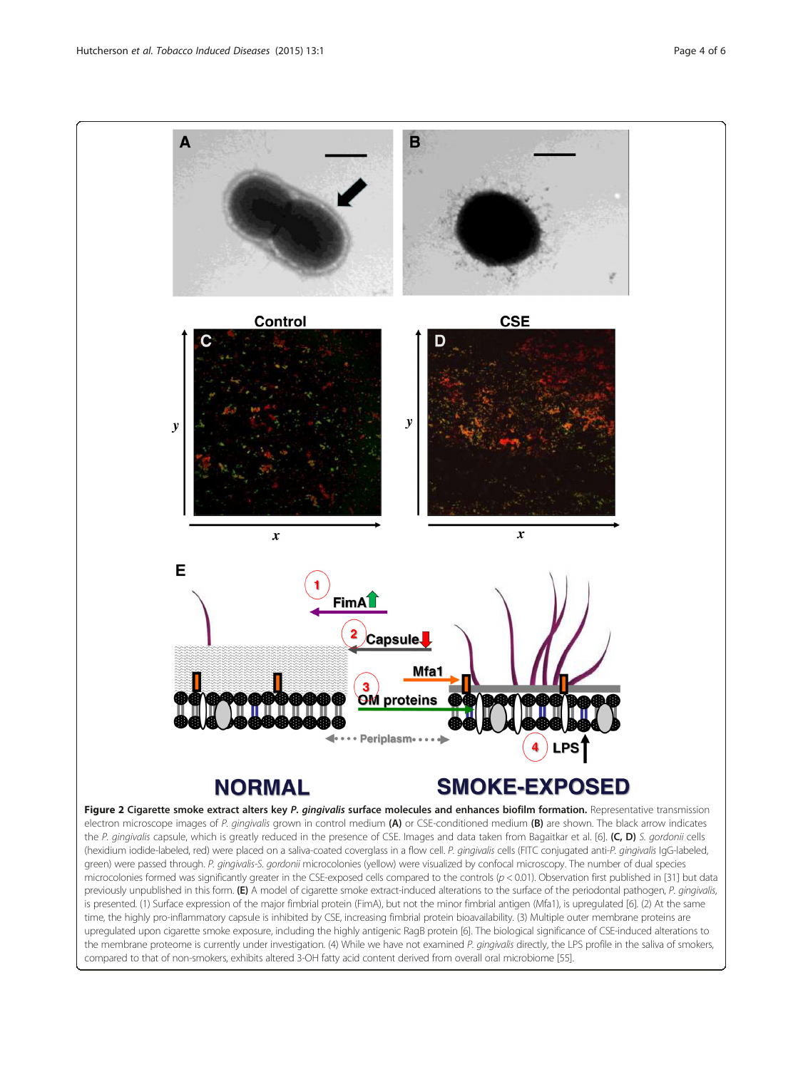<span id="page-3-0"></span>

is presented. (1) Surface expression of the major fimbrial protein (FimA), but not the minor fimbrial antigen (Mfa1), is upregulated [[6](#page-4-0)]. (2) At the same time, the highly pro-inflammatory capsule is inhibited by CSE, increasing fimbrial protein bioavailability. (3) Multiple outer membrane proteins are upregulated upon cigarette smoke exposure, including the highly antigenic RagB protein [[6](#page-4-0)]. The biological significance of CSE-induced alterations to the membrane proteome is currently under investigation. (4) While we have not examined P. gingivalis directly, the LPS profile in the saliva of smokers, compared to that of non-smokers, exhibits altered 3-OH fatty acid content derived from overall oral microbiome [\[55\]](#page-5-0).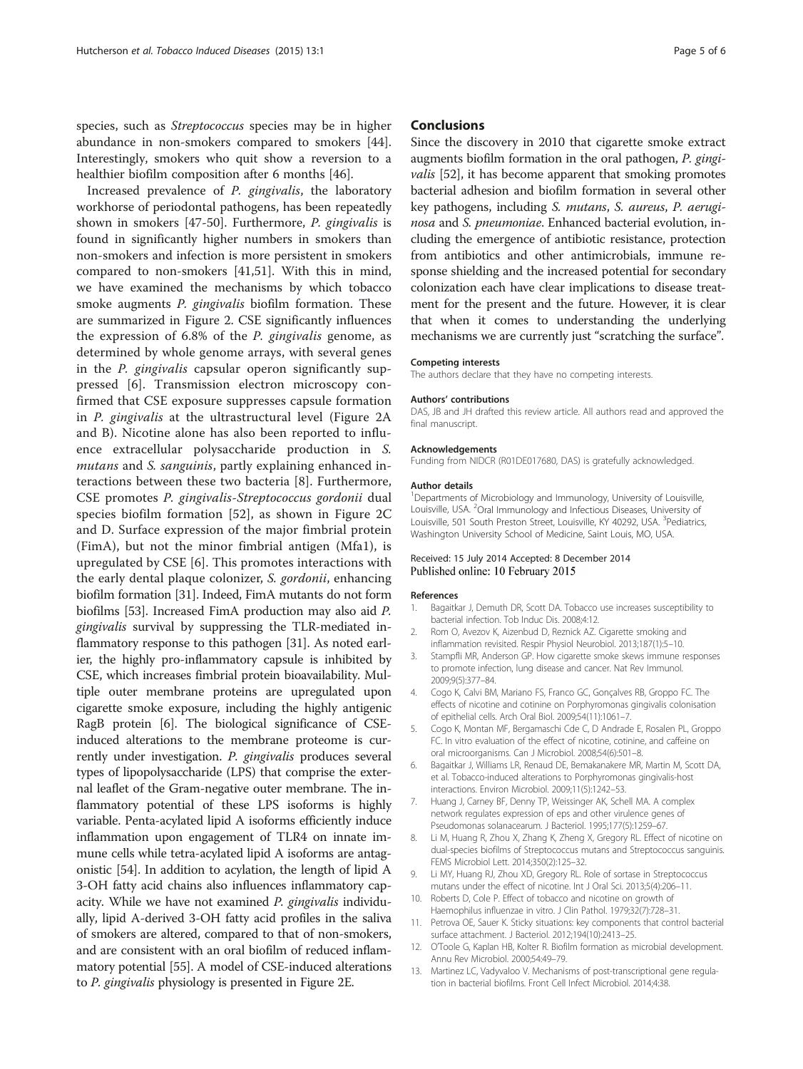<span id="page-4-0"></span>species, such as Streptococcus species may be in higher abundance in non-smokers compared to smokers [\[44](#page-5-0)]. Interestingly, smokers who quit show a reversion to a healthier biofilm composition after 6 months [\[46](#page-5-0)].

Increased prevalence of P. gingivalis, the laboratory workhorse of periodontal pathogens, has been repeatedly shown in smokers [[47-50](#page-5-0)]. Furthermore, P. gingivalis is found in significantly higher numbers in smokers than non-smokers and infection is more persistent in smokers compared to non-smokers [[41,51](#page-5-0)]. With this in mind, we have examined the mechanisms by which tobacco smoke augments *P. gingivalis* biofilm formation. These are summarized in Figure [2](#page-3-0). CSE significantly influences the expression of 6.8% of the P. gingivalis genome, as determined by whole genome arrays, with several genes in the P. gingivalis capsular operon significantly suppressed [6]. Transmission electron microscopy confirmed that CSE exposure suppresses capsule formation in P. gingivalis at the ultrastructural level (Figure [2A](#page-3-0) and B). Nicotine alone has also been reported to influence extracellular polysaccharide production in S. mutans and *S. sanguinis*, partly explaining enhanced interactions between these two bacteria [8]. Furthermore, CSE promotes P. gingivalis-Streptococcus gordonii dual species biofilm formation [[52\]](#page-5-0), as shown in Figure [2C](#page-3-0) and D. Surface expression of the major fimbrial protein (FimA), but not the minor fimbrial antigen (Mfa1), is upregulated by CSE [6]. This promotes interactions with the early dental plaque colonizer, S. gordonii, enhancing biofilm formation [[31](#page-5-0)]. Indeed, FimA mutants do not form biofilms [\[53\]](#page-5-0). Increased FimA production may also aid P. gingivalis survival by suppressing the TLR-mediated inflammatory response to this pathogen [\[31\]](#page-5-0). As noted earlier, the highly pro-inflammatory capsule is inhibited by CSE, which increases fimbrial protein bioavailability. Multiple outer membrane proteins are upregulated upon cigarette smoke exposure, including the highly antigenic RagB protein [6]. The biological significance of CSEinduced alterations to the membrane proteome is currently under investigation. P. gingivalis produces several types of lipopolysaccharide (LPS) that comprise the external leaflet of the Gram-negative outer membrane. The inflammatory potential of these LPS isoforms is highly variable. Penta-acylated lipid A isoforms efficiently induce inflammation upon engagement of TLR4 on innate immune cells while tetra-acylated lipid A isoforms are antagonistic [\[54\]](#page-5-0). In addition to acylation, the length of lipid A 3-OH fatty acid chains also influences inflammatory capacity. While we have not examined P. gingivalis individually, lipid A-derived 3-OH fatty acid profiles in the saliva of smokers are altered, compared to that of non-smokers, and are consistent with an oral biofilm of reduced inflammatory potential [[55](#page-5-0)]. A model of CSE-induced alterations to P. gingivalis physiology is presented in Figure [2](#page-3-0)E.

#### **Conclusions**

Since the discovery in 2010 that cigarette smoke extract augments biofilm formation in the oral pathogen, P. gingi-valis [\[52\]](#page-5-0), it has become apparent that smoking promotes bacterial adhesion and biofilm formation in several other key pathogens, including S. mutans, S. aureus, P. aeruginosa and S. pneumoniae. Enhanced bacterial evolution, including the emergence of antibiotic resistance, protection from antibiotics and other antimicrobials, immune response shielding and the increased potential for secondary colonization each have clear implications to disease treatment for the present and the future. However, it is clear that when it comes to understanding the underlying mechanisms we are currently just "scratching the surface".

#### Competing interests

The authors declare that they have no competing interests.

#### Authors' contributions

DAS, JB and JH drafted this review article. All authors read and approved the final manuscript.

#### Acknowledgements

Funding from NIDCR (R01DE017680, DAS) is gratefully acknowledged.

#### Author details

<sup>1</sup>Departments of Microbiology and Immunology, University of Louisville, Louisville, USA. <sup>2</sup>Oral Immunology and Infectious Diseases, University of Louisville, 501 South Preston Street, Louisville, KY 40292, USA. <sup>3</sup>Pediatrics Washington University School of Medicine, Saint Louis, MO, USA.

#### Received: 15 July 2014 Accepted: 8 December 2014 Published online: 10 February 2015

#### References

- 1. Bagaitkar J, Demuth DR, Scott DA. Tobacco use increases susceptibility to bacterial infection. Tob Induc Dis. 2008;4:12.
- 2. Rom O, Avezov K, Aizenbud D, Reznick AZ. Cigarette smoking and inflammation revisited. Respir Physiol Neurobiol. 2013;187(1):5–10.
- 3. Stampfli MR, Anderson GP. How cigarette smoke skews immune responses to promote infection, lung disease and cancer. Nat Rev Immunol. 2009;9(5):377–84.
- 4. Cogo K, Calvi BM, Mariano FS, Franco GC, Gonçalves RB, Groppo FC. The effects of nicotine and cotinine on Porphyromonas gingivalis colonisation of epithelial cells. Arch Oral Biol. 2009;54(11):1061–7.
- 5. Cogo K, Montan MF, Bergamaschi Cde C, D Andrade E, Rosalen PL, Groppo FC. In vitro evaluation of the effect of nicotine, cotinine, and caffeine on oral microorganisms. Can J Microbiol. 2008;54(6):501–8.
- 6. Bagaitkar J, Williams LR, Renaud DE, Bemakanakere MR, Martin M, Scott DA, et al. Tobacco-induced alterations to Porphyromonas gingivalis-host interactions. Environ Microbiol. 2009;11(5):1242–53.
- 7. Huang J, Carney BF, Denny TP, Weissinger AK, Schell MA. A complex network regulates expression of eps and other virulence genes of Pseudomonas solanacearum. J Bacteriol. 1995;177(5):1259–67.
- 8. Li M, Huang R, Zhou X, Zhang K, Zheng X, Gregory RL. Effect of nicotine on dual-species biofilms of Streptococcus mutans and Streptococcus sanguinis. FEMS Microbiol Lett. 2014;350(2):125–32.
- 9. Li MY, Huang RJ, Zhou XD, Gregory RL. Role of sortase in Streptococcus mutans under the effect of nicotine. Int J Oral Sci. 2013;5(4):206–11.
- 10. Roberts D, Cole P. Effect of tobacco and nicotine on growth of Haemophilus influenzae in vitro. J Clin Pathol. 1979;32(7):728–31.
- 11. Petrova OE, Sauer K. Sticky situations: key components that control bacterial surface attachment. J Bacteriol. 2012;194(10):2413–25.
- 12. O'Toole G, Kaplan HB, Kolter R. Biofilm formation as microbial development. Annu Rev Microbiol. 2000;54:49–79.
- 13. Martinez LC, Vadyvaloo V. Mechanisms of post-transcriptional gene regulation in bacterial biofilms. Front Cell Infect Microbiol. 2014;4:38.